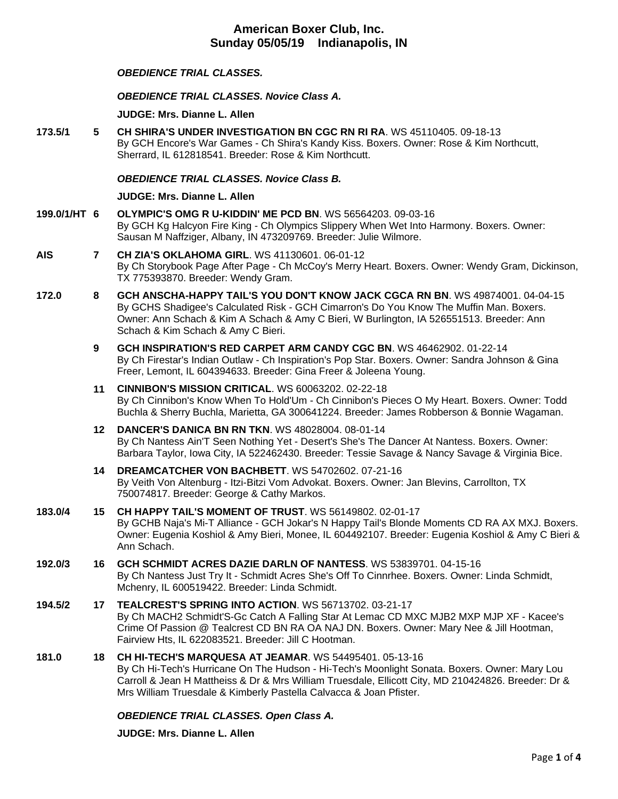# *OBEDIENCE TRIAL CLASSES.*

*OBEDIENCE TRIAL CLASSES. Novice Class A.*

**JUDGE: [Mrs. Dianne L. Allen](http://infodog.com/show/judge/jdgprofile.htm?jn=5494)**

**173.5/1 5 [CH SHIRA'S UNDER INVESTIGATION BN CGC RN RI RA](http://infodog.com/my/drlookup2.htm?makc=WS%2045110405&mdog=Ch+Shira%27s+Under+Investigation+BN+CGC+RN+RI+RA&wins=all)**. WS 45110405. 09-18-13 By GCH Encore's War Games - Ch Shira's Kandy Kiss. Boxers. Owner: Rose & Kim Northcutt, Sherrard, IL 612818541. Breeder: Rose & Kim Northcutt.

## *OBEDIENCE TRIAL CLASSES. Novice Class B.*

**JUDGE: [Mrs. Dianne L. Allen](http://infodog.com/show/judge/jdgprofile.htm?jn=5494)**

- **199.0/1/HT 6 [OLYMPIC'S OMG R U-KIDDIN' ME PCD BN](http://infodog.com/my/drlookup2.htm?makc=WS%2056564203&mdog=Olympic%27s+OMG+R+U-Kiddin%27+Me+PCD+BN&wins=all)**. WS 56564203. 09-03-16 By GCH Kg Halcyon Fire King - Ch Olympics Slippery When Wet Into Harmony. Boxers. Owner: Sausan M Naffziger, Albany, IN 473209769. Breeder: Julie Wilmore.
- **AIS 7 [CH ZIA'S OKLAHOMA GIRL](http://infodog.com/my/drlookup2.htm?makc=WS%2041130601&mdog=Ch+Zia%27s+Oklahoma+Girl&wins=all)**. WS 41130601. 06-01-12 By Ch Storybook Page After Page - Ch McCoy's Merry Heart. Boxers. Owner: Wendy Gram, Dickinson, TX 775393870. Breeder: Wendy Gram.
- **172.0 8 [GCH ANSCHA-HAPPY TAIL'S YOU DON'T KNOW JACK CGCA RN BN](http://infodog.com/my/drlookup2.htm?makc=WS%2049874001&mdog=GCH+Anscha-Happy+Tail%27s+You+Don%27t+Know+Jack+CGCA+RN+BN&wins=all)**. WS 49874001. 04-04-15 By GCHS Shadigee's Calculated Risk - GCH Cimarron's Do You Know The Muffin Man. Boxers. Owner: Ann Schach & Kim A Schach & Amy C Bieri, W Burlington, IA 526551513. Breeder: Ann Schach & Kim Schach & Amy C Bieri.
	- **9 [GCH INSPIRATION'S RED CARPET ARM CANDY CGC BN](http://infodog.com/my/drlookup2.htm?makc=WS%2046462902&mdog=GCH+Inspiration%27s+Red+Carpet+Arm+Candy+CGC+BN&wins=all)**. WS 46462902. 01-22-14 By Ch Firestar's Indian Outlaw - Ch Inspiration's Pop Star. Boxers. Owner: Sandra Johnson & Gina Freer, Lemont, IL 604394633. Breeder: Gina Freer & Joleena Young.
	- **11 [CINNIBON'S MISSION CRITICAL](http://infodog.com/my/drlookup2.htm?makc=WS%2060063202&mdog=Cinnibon%27s+Mission+Critical&wins=all)**. WS 60063202. 02-22-18 By Ch Cinnibon's Know When To Hold'Um - Ch Cinnibon's Pieces O My Heart. Boxers. Owner: Todd Buchla & Sherry Buchla, Marietta, GA 300641224. Breeder: James Robberson & Bonnie Wagaman.
	- **12 [DANCER'S DANICA BN RN TKN](http://infodog.com/my/drlookup2.htm?makc=WS%2048028004&mdog=Dancer%27s+Danica+BN+RN+TKN&wins=all)**. WS 48028004. 08-01-14 By Ch Nantess Ain'T Seen Nothing Yet - Desert's She's The Dancer At Nantess. Boxers. Owner: Barbara Taylor, Iowa City, IA 522462430. Breeder: Tessie Savage & Nancy Savage & Virginia Bice.
	- **14 [DREAMCATCHER VON BACHBETT](http://infodog.com/my/drlookup2.htm?makc=WS%2054702602&mdog=Dreamcatcher+Von+Bachbett&wins=all)**. WS 54702602. 07-21-16 By Veith Von Altenburg - Itzi-Bitzi Vom Advokat. Boxers. Owner: Jan Blevins, Carrollton, TX 750074817. Breeder: George & Cathy Markos.
- **183.0/4 15 [CH HAPPY TAIL'S MOMENT OF TRUST](http://infodog.com/my/drlookup2.htm?makc=WS%2056149802&mdog=Ch+Happy+Tail%27s+Moment+Of+Trust&wins=all)**. WS 56149802. 02-01-17 By GCHB Naja's Mi-T Alliance - GCH Jokar's N Happy Tail's Blonde Moments CD RA AX MXJ. Boxers. Owner: Eugenia Koshiol & Amy Bieri, Monee, IL 604492107. Breeder: Eugenia Koshiol & Amy C Bieri & Ann Schach.

# **192.0/3 16 [GCH SCHMIDT ACRES DAZIE DARLN OF NANTESS](http://infodog.com/my/drlookup2.htm?makc=WS%2053839701&mdog=GCH+Schmidt+Acres+Dazie+Darln+Of+Nantess&wins=all)**. WS 53839701. 04-15-16 By Ch Nantess Just Try It - Schmidt Acres She's Off To Cinnrhee. Boxers. Owner: Linda Schmidt, Mchenry, IL 600519422. Breeder: Linda Schmidt.

**194.5/2 17 [TEALCREST'S SPRING INTO ACTION](http://infodog.com/my/drlookup2.htm?makc=WS%2056713702&mdog=Tealcrest%27s+Spring+Into+Action&wins=all)**. WS 56713702. 03-21-17 By Ch MACH2 Schmidt'S-Gc Catch A Falling Star At Lemac CD MXC MJB2 MXP MJP XF - Kacee's Crime Of Passion @ Tealcrest CD BN RA OA NAJ DN. Boxers. Owner: Mary Nee & Jill Hootman, Fairview Hts, IL 622083521. Breeder: Jill C Hootman.

# **181.0 18 [CH HI-TECH'S MARQUESA AT JEAMAR](http://infodog.com/my/drlookup2.htm?makc=WS%2054495401&mdog=Ch+Hi-Tech%27s+Marquesa+At+Jeamar&wins=all)**. WS 54495401. 05-13-16

By Ch Hi-Tech's Hurricane On The Hudson - Hi-Tech's Moonlight Sonata. Boxers. Owner: Mary Lou Carroll & Jean H Mattheiss & Dr & Mrs William Truesdale, Ellicott City, MD 210424826. Breeder: Dr & Mrs William Truesdale & Kimberly Pastella Calvacca & Joan Pfister.

*OBEDIENCE TRIAL CLASSES. Open Class A.*

**JUDGE: [Mrs. Dianne L. Allen](http://infodog.com/show/judge/jdgprofile.htm?jn=5494)**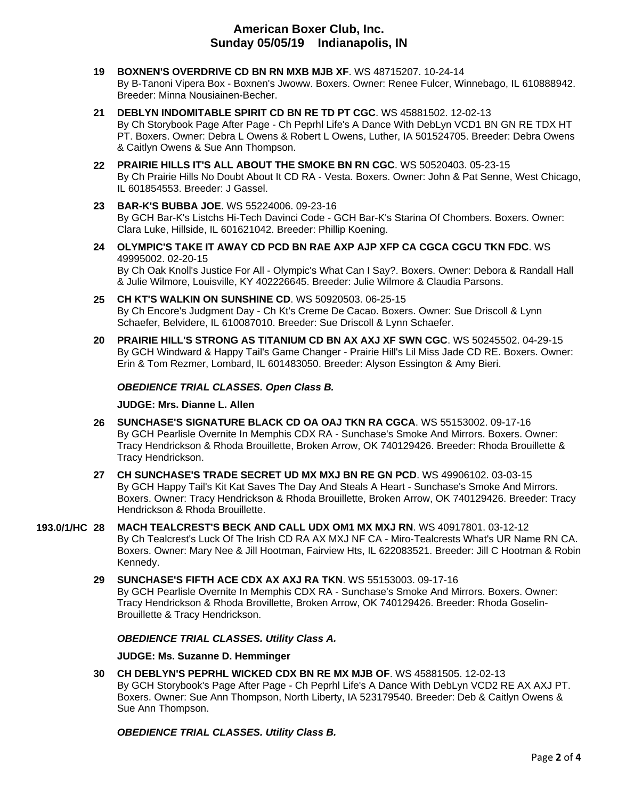- **19 [BOXNEN'S OVERDRIVE CD BN RN MXB MJB XF](http://infodog.com/my/drlookup2.htm?makc=WS%2048715207&mdog=Boxnen%27s+Overdrive+CD+BN+RN+MXB+MJB+XF&wins=all)**. WS 48715207. 10-24-14 By B-Tanoni Vipera Box - Boxnen's Jwoww. Boxers. Owner: Renee Fulcer, Winnebago, IL 610888942. Breeder: Minna Nousiainen-Becher.
- **21 [DEBLYN INDOMITABLE SPIRIT CD BN RE TD PT CGC](http://infodog.com/my/drlookup2.htm?makc=WS%2045881502&mdog=DebLyn+Indomitable+Spirit+CD+BN+RE+TD+PT+CGC&wins=all)**. WS 45881502. 12-02-13 By Ch Storybook Page After Page - Ch Peprhl Life's A Dance With DebLyn VCD1 BN GN RE TDX HT PT. Boxers. Owner: Debra L Owens & Robert L Owens, Luther, IA 501524705. Breeder: Debra Owens & Caitlyn Owens & Sue Ann Thompson.
- **22 [PRAIRIE HILLS IT'S ALL ABOUT THE SMOKE BN RN CGC](http://infodog.com/my/drlookup2.htm?makc=WS%2050520403&mdog=Prairie+Hills+It%27s+All+About+The+Smoke+BN+RN+CGC&wins=all)**. WS 50520403. 05-23-15 By Ch Prairie Hills No Doubt About It CD RA - Vesta. Boxers. Owner: John & Pat Senne, West Chicago, IL 601854553. Breeder: J Gassel.
- **23 BAR-K'S [BUBBA JOE](http://infodog.com/my/drlookup2.htm?makc=WS%2055224006&mdog=Bar-K%27s+Bubba+Joe&wins=all)**. WS 55224006. 09-23-16 By GCH Bar-K's Listchs Hi-Tech Davinci Code - GCH Bar-K's Starina Of Chombers. Boxers. Owner: Clara Luke, Hillside, IL 601621042. Breeder: Phillip Koening.
- **24 [OLYMPIC'S TAKE IT AWAY CD PCD BN RAE AXP AJP XFP CA CGCA CGCU TKN FDC](http://infodog.com/my/drlookup2.htm?makc=WS%2049995002&mdog=Olympic%27s+Take+It+Away+CD+PCD+BN+RAE+AXP+AJP+XFP+CA+CGCA+CGCU+TKN+FDC&wins=all)**. WS 49995002. 02-20-15 By Ch Oak Knoll's Justice For All - Olympic's What Can I Say?. Boxers. Owner: Debora & Randall Hall & Julie Wilmore, Louisville, KY 402226645. Breeder: Julie Wilmore & Claudia Parsons.
- **25 [CH KT'S WALKIN ON SUNSHINE CD](http://infodog.com/my/drlookup2.htm?makc=WS%2050920503&mdog=Ch+KT%27s+Walkin+On+Sunshine+CD&wins=all)**. WS 50920503. 06-25-15 By Ch Encore's Judgment Day - Ch Kt's Creme De Cacao. Boxers. Owner: Sue Driscoll & Lynn Schaefer, Belvidere, IL 610087010. Breeder: Sue Driscoll & Lynn Schaefer.
- **20 [PRAIRIE HILL'S STRONG AS TITANIUM CD BN AX AXJ XF SWN CGC](http://infodog.com/my/drlookup2.htm?makc=WS%2050245502&mdog=Prairie+Hill%27s+Strong+As+Titanium+CD+BN+AX+AXJ+XF+SWN+CGC&wins=all)**. WS 50245502. 04-29-15 By GCH Windward & Happy Tail's Game Changer - Prairie Hill's Lil Miss Jade CD RE. Boxers. Owner: Erin & Tom Rezmer, Lombard, IL 601483050. Breeder: Alyson Essington & Amy Bieri.

# *OBEDIENCE TRIAL CLASSES. Open Class B.*

## **JUDGE: [Mrs. Dianne L. Allen](http://infodog.com/show/judge/jdgprofile.htm?jn=5494)**

- **26 [SUNCHASE'S SIGNATURE BLACK CD OA OAJ TKN RA CGCA](http://infodog.com/my/drlookup2.htm?makc=WS%2055153002&mdog=Sunchase%27s+Signature+Black+CD+OA+OAJ+TKN+RA+CGCA&wins=all)**. WS 55153002. 09-17-16 By GCH Pearlisle Overnite In Memphis CDX RA - Sunchase's Smoke And Mirrors. Boxers. Owner: Tracy Hendrickson & Rhoda Brouillette, Broken Arrow, OK 740129426. Breeder: Rhoda Brouillette & Tracy Hendrickson.
- **27 [CH SUNCHASE'S TRADE SECRET UD MX MXJ BN RE GN PCD](http://infodog.com/my/drlookup2.htm?makc=WS%2049906102&mdog=Ch+Sunchase%27s+Trade+Secret+UD+MX+MXJ+BN+RE+GN+PCD&wins=all)**. WS 49906102. 03-03-15 By GCH Happy Tail's Kit Kat Saves The Day And Steals A Heart - Sunchase's Smoke And Mirrors. Boxers. Owner: Tracy Hendrickson & Rhoda Brouillette, Broken Arrow, OK 740129426. Breeder: Tracy Hendrickson & Rhoda Brouillette.
- **193.0/1/HC 28 [MACH TEALCREST'S BECK AND CALL UDX OM1 MX MXJ RN](http://infodog.com/my/drlookup2.htm?makc=WS%2040917801&mdog=MACH+Tealcrest%27s+Beck+And+Call+UDX+OM1+MX+MXJ+RN&wins=all)**. WS 40917801. 03-12-12 By Ch Tealcrest's Luck Of The Irish CD RA AX MXJ NF CA - Miro-Tealcrests What's UR Name RN CA. Boxers. Owner: Mary Nee & Jill Hootman, Fairview Hts, IL 622083521. Breeder: Jill C Hootman & Robin Kennedy.
	- **29 [SUNCHASE'S FIFTH ACE CDX AX AXJ RA TKN](http://infodog.com/my/drlookup2.htm?makc=WS%2055153003&mdog=Sunchase%27s+Fifth+Ace+CDX+AX+AXJ+RA+TKN&wins=all)**. WS 55153003. 09-17-16 By GCH Pearlisle Overnite In Memphis CDX RA - Sunchase's Smoke And Mirrors. Boxers. Owner: Tracy Hendrickson & Rhoda Brovillette, Broken Arrow, OK 740129426. Breeder: Rhoda Goselin-Brouillette & Tracy Hendrickson.

# *OBEDIENCE TRIAL CLASSES. Utility Class A.*

### **JUDGE: [Ms. Suzanne D. Hemminger](http://infodog.com/show/judge/jdgprofile.htm?jn=15146)**

**30 [CH DEBLYN'S PEPRHL WICKED CDX BN RE MX MJB OF](http://infodog.com/my/drlookup2.htm?makc=WS%2045881505&mdog=Ch+DebLyn%27s+Peprhl+Wicked+CDX+BN+RE+MX+MJB+OF&wins=all)**. WS 45881505. 12-02-13 By GCH Storybook's Page After Page - Ch Peprhl Life's A Dance With DebLyn VCD2 RE AX AXJ PT. Boxers. Owner: Sue Ann Thompson, North Liberty, IA 523179540. Breeder: Deb & Caitlyn Owens & Sue Ann Thompson.

*OBEDIENCE TRIAL CLASSES. Utility Class B.*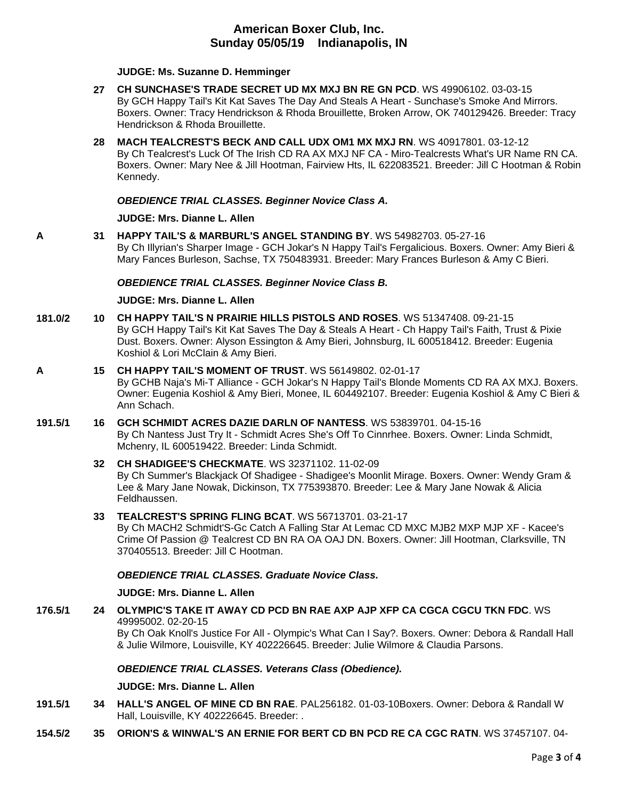**JUDGE: [Ms. Suzanne D. Hemminger](http://infodog.com/show/judge/jdgprofile.htm?jn=15146)**

- **27 [CH SUNCHASE'S TRADE SECRET UD MX MXJ BN RE GN PCD](http://infodog.com/my/drlookup2.htm?makc=WS%2049906102&mdog=Ch+Sunchase%27s+Trade+Secret+UD+MX+MXJ+BN+RE+GN+PCD&wins=all)**. WS 49906102. 03-03-15 By GCH Happy Tail's Kit Kat Saves The Day And Steals A Heart - Sunchase's Smoke And Mirrors. Boxers. Owner: Tracy Hendrickson & Rhoda Brouillette, Broken Arrow, OK 740129426. Breeder: Tracy Hendrickson & Rhoda Brouillette.
- **28 [MACH TEALCREST'S BECK AND CALL UDX OM1 MX MXJ RN](http://infodog.com/my/drlookup2.htm?makc=WS%2040917801&mdog=MACH+Tealcrest%27s+Beck+And+Call+UDX+OM1+MX+MXJ+RN&wins=all)**. WS 40917801. 03-12-12 By Ch Tealcrest's Luck Of The Irish CD RA AX MXJ NF CA - Miro-Tealcrests What's UR Name RN CA. Boxers. Owner: Mary Nee & Jill Hootman, Fairview Hts, IL 622083521. Breeder: Jill C Hootman & Robin Kennedy.

## *OBEDIENCE TRIAL CLASSES. Beginner Novice Class A.*

## **JUDGE: [Mrs. Dianne L. Allen](http://infodog.com/show/judge/jdgprofile.htm?jn=5494)**

**A 31 [HAPPY TAIL'S & MARBURL'S ANGEL STANDING BY](http://infodog.com/my/drlookup2.htm?makc=WS%2054982703&mdog=Happy+Tail%27s+&+Marburl%27s+Angel+Standing+By&wins=all)**. WS 54982703. 05-27-16 By Ch Illyrian's Sharper Image - GCH Jokar's N Happy Tail's Fergalicious. Boxers. Owner: Amy Bieri & Mary Fances Burleson, Sachse, TX 750483931. Breeder: Mary Frances Burleson & Amy C Bieri.

### *OBEDIENCE TRIAL CLASSES. Beginner Novice Class B.*

### **JUDGE: [Mrs. Dianne L. Allen](http://infodog.com/show/judge/jdgprofile.htm?jn=5494)**

**181.0/2 10 [CH HAPPY TAIL'S N PRAIRIE HILLS PISTOLS AND ROSES](http://infodog.com/my/drlookup2.htm?makc=WS%2051347408&mdog=Ch+Happy+Tail%27s+N+Prairie+Hills+Pistols+And+Roses&wins=all)**. WS 51347408. 09-21-15 By GCH Happy Tail's Kit Kat Saves The Day & Steals A Heart - Ch Happy Tail's Faith, Trust & Pixie Dust. Boxers. Owner: Alyson Essington & Amy Bieri, Johnsburg, IL 600518412. Breeder: Eugenia Koshiol & Lori McClain & Amy Bieri.

#### **A 15 [CH HAPPY TAIL'S MOMENT OF TRUST](http://infodog.com/my/drlookup2.htm?makc=WS%2056149802&mdog=Ch+Happy+Tail%27s+Moment+Of+Trust&wins=all)**. WS 56149802. 02-01-17

By GCHB Naja's Mi-T Alliance - GCH Jokar's N Happy Tail's Blonde Moments CD RA AX MXJ. Boxers. Owner: Eugenia Koshiol & Amy Bieri, Monee, IL 604492107. Breeder: Eugenia Koshiol & Amy C Bieri & Ann Schach.

**191.5/1 16 [GCH SCHMIDT ACRES DAZIE DARLN OF NANTESS](http://infodog.com/my/drlookup2.htm?makc=WS%2053839701&mdog=GCH+Schmidt+Acres+Dazie+Darln+Of+Nantess&wins=all)**. WS 53839701. 04-15-16 By Ch Nantess Just Try It - Schmidt Acres She's Off To Cinnrhee. Boxers. Owner: Linda Schmidt, Mchenry, IL 600519422. Breeder: Linda Schmidt.

## **32 [CH SHADIGEE'S CHECKMATE](http://infodog.com/my/drlookup2.htm?makc=WS%2032371102&mdog=Ch+Shadigee%27s+Checkmate&wins=all)**. WS 32371102. 11-02-09 By Ch Summer's Blackjack Of Shadigee - Shadigee's Moonlit Mirage. Boxers. Owner: Wendy Gram & Lee & Mary Jane Nowak, Dickinson, TX 775393870. Breeder: Lee & Mary Jane Nowak & Alicia Feldhaussen.

#### **33 [TEALCREST'S SPRING FLING BCAT](http://infodog.com/my/drlookup2.htm?makc=WS%2056713701&mdog=Tealcrest%27s+Spring+Fling+BCAT&wins=all)**. WS 56713701. 03-21-17 By Ch MACH2 Schmidt'S-Gc Catch A Falling Star At Lemac CD MXC MJB2 MXP MJP XF - Kacee's Crime Of Passion @ Tealcrest CD BN RA OA OAJ DN. Boxers. Owner: Jill Hootman, Clarksville, TN 370405513. Breeder: Jill C Hootman.

# *OBEDIENCE TRIAL CLASSES. Graduate Novice Class.*

### **JUDGE: [Mrs. Dianne L. Allen](http://infodog.com/show/judge/jdgprofile.htm?jn=5494)**

**176.5/1 24 [OLYMPIC'S TAKE IT AWAY CD PCD BN RAE AXP AJP XFP CA CGCA CGCU TKN FDC](http://infodog.com/my/drlookup2.htm?makc=WS%2049995002&mdog=Olympic%27s+Take+It+Away+CD+PCD+BN+RAE+AXP+AJP+XFP+CA+CGCA+CGCU+TKN+FDC&wins=all)**. WS 49995002. 02-20-15 By Ch Oak Knoll's Justice For All - Olympic's What Can I Say?. Boxers. Owner: Debora & Randall Hall & Julie Wilmore, Louisville, KY 402226645. Breeder: Julie Wilmore & Claudia Parsons.

### *OBEDIENCE TRIAL CLASSES. Veterans Class (Obedience).*

### **JUDGE: [Mrs. Dianne L. Allen](http://infodog.com/show/judge/jdgprofile.htm?jn=5494)**

- **191.5/1 34 [HALL'S ANGEL OF MINE CD](http://infodog.com/my/drlookup2.htm?makc=PAL256182&mdog=Hall%27s+Angel+Of+Mine+CD+BN+RAE&wins=all) BN RAE**. PAL256182. 01-03-10Boxers. Owner: Debora & Randall W Hall, Louisville, KY 402226645. Breeder: .
- **154.5/2 35 [ORION'S & WINWAL'S AN ERNIE FOR BERT CD BN PCD RE CA CGC RATN](http://infodog.com/my/drlookup2.htm?makc=WS%2037457107&mdog=Orion%27s+&+Winwal%27s+An+Ernie+For+Bert+CD+BN+PCD+RE+CA+CGC+RATN&wins=all)**. WS 37457107. 04-